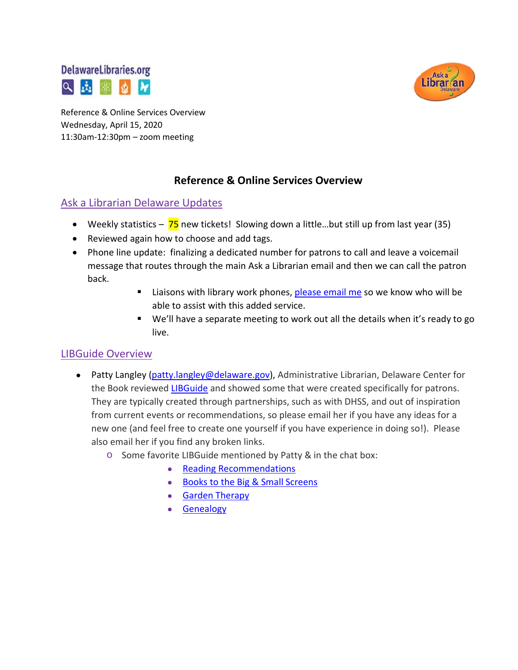



Reference & Online Services Overview Wednesday, April 15, 2020 11:30am-12:30pm – zoom meeting

## **Reference & Online Services Overview**

### Ask a Librarian Delaware Updates

- Weekly statistics  $-75$  new tickets! Slowing down a little...but still up from last year (35)
- Reviewed again how to choose and add tags.
- Phone line update: finalizing a dedicated number for patrons to call and leave a voicemail message that routes through the main Ask a Librarian email and then we can call the patron back.
	- Liaisons with library work phones, [please email me](mailto:missy.williams@lib.de.us) so we know who will be able to assist with this added service.
	- We'll have a separate meeting to work out all the details when it's ready to go live.

#### LIBGuide Overview

- Patty Langley [\(patty.langley@delaware.gov\)](mailto:patty.langley@delaware.gov), Administrative Librarian, Delaware Center for the Book reviewed [LIBGuide](https://guides.lib.de.us/?b=g&d=a) and showed some that were created specifically for patrons. They are typically created through partnerships, such as with DHSS, and out of inspiration from current events or recommendations, so please email her if you have any ideas for a new one (and feel free to create one yourself if you have experience in doing so!). Please also email her if you find any broken links.
	- o Some favorite LIBGuide mentioned by Patty & in the chat box:
		- [Reading Recommendations](https://guides.lib.de.us/genres)
		- [Books to the Big & Small Screens](https://guides.lib.de.us/booksmovies)
		- [Garden Therapy](https://guides.lib.de.us/GardenTherapy)
		- [Genealogy](https://guides.lib.de.us/genealogy)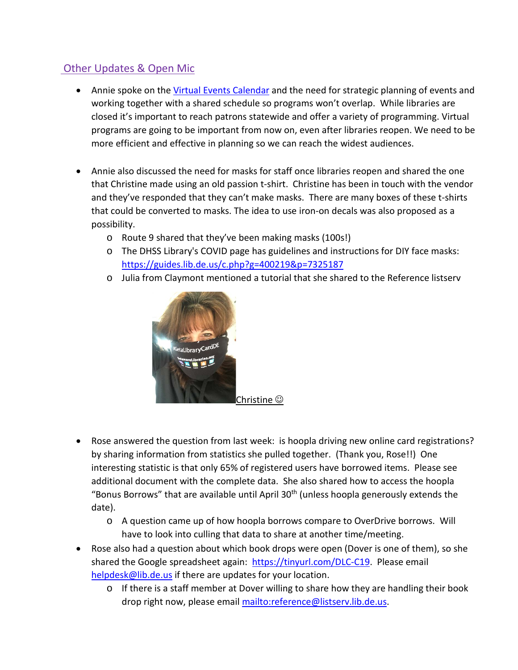# Other Updates & Open Mic

- Annie spoke on the [Virtual Events Calendar](https://delawarelibraries.libcal.com/calendar/virtuallibraryevents/?cid=9904&t=w&d=0000-00-00&cal=9904) and the need for strategic planning of events and working together with a shared schedule so programs won't overlap. While libraries are closed it's important to reach patrons statewide and offer a variety of programming. Virtual programs are going to be important from now on, even after libraries reopen. We need to be more efficient and effective in planning so we can reach the widest audiences.
- Annie also discussed the need for masks for staff once libraries reopen and shared the one that Christine made using an old passion t-shirt. Christine has been in touch with the vendor and they've responded that they can't make masks. There are many boxes of these t-shirts that could be converted to masks. The idea to use iron-on decals was also proposed as a possibility.
	- o Route 9 shared that they've been making masks (100s!)
	- o The DHSS Library's COVID page has guidelines and instructions for DIY face masks: <https://guides.lib.de.us/c.php?g=400219&p=7325187>
	- o Julia from Claymont mentioned a tutorial that she shared to the Reference listserv



- Rose answered the question from last week: is hoopla driving new online card registrations? by sharing information from statistics she pulled together. (Thank you, Rose!!) One interesting statistic is that only 65% of registered users have borrowed items. Please see additional document with the complete data. She also shared how to access the hoopla "Bonus Borrows" that are available until April  $30<sup>th</sup>$  (unless hoopla generously extends the date).
	- o A question came up of how hoopla borrows compare to OverDrive borrows. Will have to look into culling that data to share at another time/meeting.
- Rose also had a question about which book drops were open (Dover is one of them), so she shared the Google spreadsheet again: [https://tinyurl.com/DLC-C19.](https://tinyurl.com/DLC-C19) Please email [helpdesk@lib.de.us](mailto:helpdesk@lib.de.us) if there are updates for your location.
	- o If there is a staff member at Dover willing to share how they are handling their book drop right now, please email [mailto:reference@listserv.lib.de.us.](mailto:reference@listserv.lib.de.us)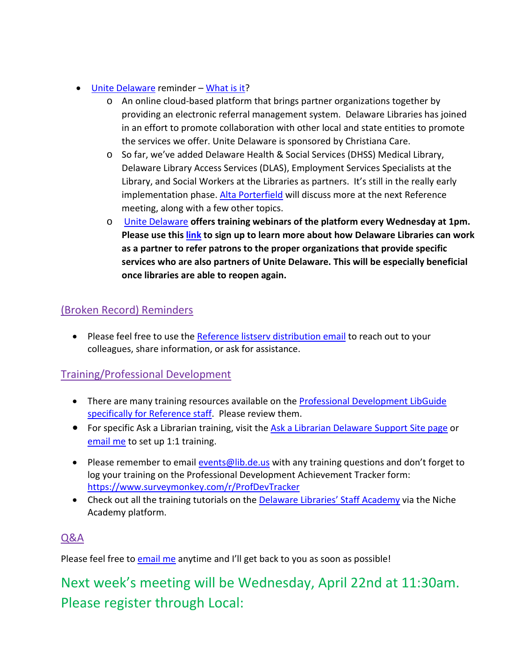- [Unite Delaware](https://delaware.uniteus.com/) reminder [What is it?](https://delaware.uniteus.com/about-us/)
	- o An online cloud-based platform that brings partner organizations together by providing an electronic referral management system. Delaware Libraries has joined in an effort to promote collaboration with other local and state entities to promote the services we offer. Unite Delaware is sponsored by [Christiana](https://christianacare.org/) Care.
	- o So far, we've added Delaware Health & Social Services (DHSS) Medical Library, Delaware Library Access Services (DLAS), Employment Services Specialists at the Library, and Social Workers at the Libraries as partners. It's still in the really early implementation phase. [Alta Porterfield](mailto:alta.porterfield@lib.de.us) will discuss more at the next Reference meeting, along with a few other topics.
	- o [Unite Delaware](https://delaware.uniteus.com/) **offers training webinars of the platform every Wednesday at 1pm. Please use this [link](https://register.gotowebinar.com/rt/5895537762145377293) to sign up to learn more about how Delaware Libraries can work as a partner to refer patrons to the proper organizations that provide specific services who are also partners of Unite Delaware. This will be especially beneficial once libraries are able to reopen again.**

## (Broken Record) Reminders

• Please feel free to use the [Reference listserv distribution email](mailto:reference@listserv.lib.de.us) to reach out to your colleagues, share information, or ask for assistance.

## Training/Professional Development

- There are many training resources available on th[e Professional Development LibGuide](https://guides.lib.de.us/c.php?g=386101&p=2619930)  [specifically for Reference staff.](https://guides.lib.de.us/c.php?g=386101&p=2619930) Please review them.
- For specific Ask a Librarian training, visit the [Ask a Librarian Delaware Support Site page](https://aalstaff.lib.de.us/all-meetings-trainings/training-tutorials/) or [email me](mailto:missy.williams@lib.de.us) to set up 1:1 training.
- Please remember to email [events@lib.de.us](mailto:events@lib.de.us) with any training questions and don't forget to log your training on the Professional Development Achievement Tracker form: <https://www.surveymonkey.com/r/ProfDevTracker>
- Check out all the training tutorials on the **Delaware Libraries' Staff Academy via the Niche** Academy platform.

## Q&A

Please feel free t[o email me](mailto:missy.williams@lib.de.us) anytime and I'll get back to you as soon as possible!

Next week's meeting will be Wednesday, April 22nd at 11:30am. Please register through Local: